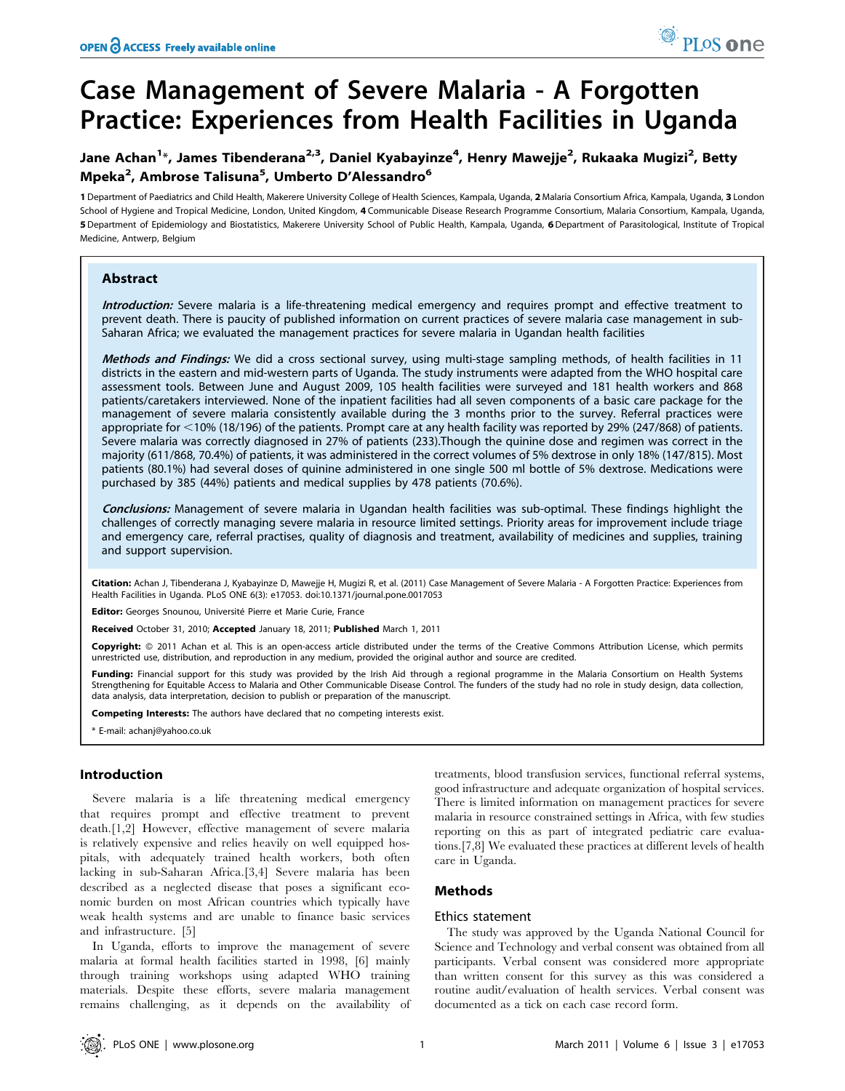# Case Management of Severe Malaria - A Forgotten Practice: Experiences from Health Facilities in Uganda

# Jane Achan<sup>1</sup>\*, James Tibenderana<sup>2,3</sup>, Daniel Kyabayinze<sup>4</sup>, Henry Mawejje<sup>2</sup>, Rukaaka Mugizi<sup>2</sup>, Betty Mpeka<sup>2</sup>, Ambrose Talisuna<sup>5</sup>, Umberto D'Alessandro<sup>6</sup>

1 Department of Paediatrics and Child Health, Makerere University College of Health Sciences, Kampala, Uganda, 2 Malaria Consortium Africa, Kampala, Uganda, 3 London School of Hygiene and Tropical Medicine, London, United Kingdom, 4 Communicable Disease Research Programme Consortium, Malaria Consortium, Kampala, Uganda, 5 Department of Epidemiology and Biostatistics, Makerere University School of Public Health, Kampala, Uganda, 6 Department of Parasitological, Institute of Tropical Medicine, Antwerp, Belgium

# Abstract

Introduction: Severe malaria is a life-threatening medical emergency and requires prompt and effective treatment to prevent death. There is paucity of published information on current practices of severe malaria case management in sub-Saharan Africa; we evaluated the management practices for severe malaria in Ugandan health facilities

Methods and Findings: We did a cross sectional survey, using multi-stage sampling methods, of health facilities in 11 districts in the eastern and mid-western parts of Uganda. The study instruments were adapted from the WHO hospital care assessment tools. Between June and August 2009, 105 health facilities were surveyed and 181 health workers and 868 patients/caretakers interviewed. None of the inpatient facilities had all seven components of a basic care package for the management of severe malaria consistently available during the 3 months prior to the survey. Referral practices were appropriate for <10% (18/196) of the patients. Prompt care at any health facility was reported by 29% (247/868) of patients. Severe malaria was correctly diagnosed in 27% of patients (233).Though the quinine dose and regimen was correct in the majority (611/868, 70.4%) of patients, it was administered in the correct volumes of 5% dextrose in only 18% (147/815). Most patients (80.1%) had several doses of quinine administered in one single 500 ml bottle of 5% dextrose. Medications were purchased by 385 (44%) patients and medical supplies by 478 patients (70.6%).

Conclusions: Management of severe malaria in Ugandan health facilities was sub-optimal. These findings highlight the challenges of correctly managing severe malaria in resource limited settings. Priority areas for improvement include triage and emergency care, referral practises, quality of diagnosis and treatment, availability of medicines and supplies, training and support supervision.

Citation: Achan J, Tibenderana J, Kyabayinze D, Mawejje H, Mugizi R, et al. (2011) Case Management of Severe Malaria - A Forgotten Practice: Experiences from Health Facilities in Uganda. PLoS ONE 6(3): e17053. doi:10.1371/journal.pone.0017053

Editor: Georges Snounou, Université Pierre et Marie Curie, France

Received October 31, 2010; Accepted January 18, 2011; Published March 1, 2011

Copyright: © 2011 Achan et al. This is an open-access article distributed under the terms of the Creative Commons Attribution License, which permits unrestricted use, distribution, and reproduction in any medium, provided the original author and source are credited.

Funding: Financial support for this study was provided by the Irish Aid through a regional programme in the Malaria Consortium on Health Systems Strengthening for Equitable Access to Malaria and Other Communicable Disease Control. The funders of the study had no role in study design, data collection, data analysis, data interpretation, decision to publish or preparation of the manuscript.

Competing Interests: The authors have declared that no competing interests exist.

\* E-mail: achanj@yahoo.co.uk

# Introduction

Severe malaria is a life threatening medical emergency that requires prompt and effective treatment to prevent death.[1,2] However, effective management of severe malaria is relatively expensive and relies heavily on well equipped hospitals, with adequately trained health workers, both often lacking in sub-Saharan Africa.[3,4] Severe malaria has been described as a neglected disease that poses a significant economic burden on most African countries which typically have weak health systems and are unable to finance basic services and infrastructure. [5]

In Uganda, efforts to improve the management of severe malaria at formal health facilities started in 1998, [6] mainly through training workshops using adapted WHO training materials. Despite these efforts, severe malaria management remains challenging, as it depends on the availability of

treatments, blood transfusion services, functional referral systems, good infrastructure and adequate organization of hospital services. There is limited information on management practices for severe malaria in resource constrained settings in Africa, with few studies reporting on this as part of integrated pediatric care evaluations.[7,8] We evaluated these practices at different levels of health care in Uganda.

# Methods

# Ethics statement

The study was approved by the Uganda National Council for Science and Technology and verbal consent was obtained from all participants. Verbal consent was considered more appropriate than written consent for this survey as this was considered a routine audit/evaluation of health services. Verbal consent was documented as a tick on each case record form.

PLoS one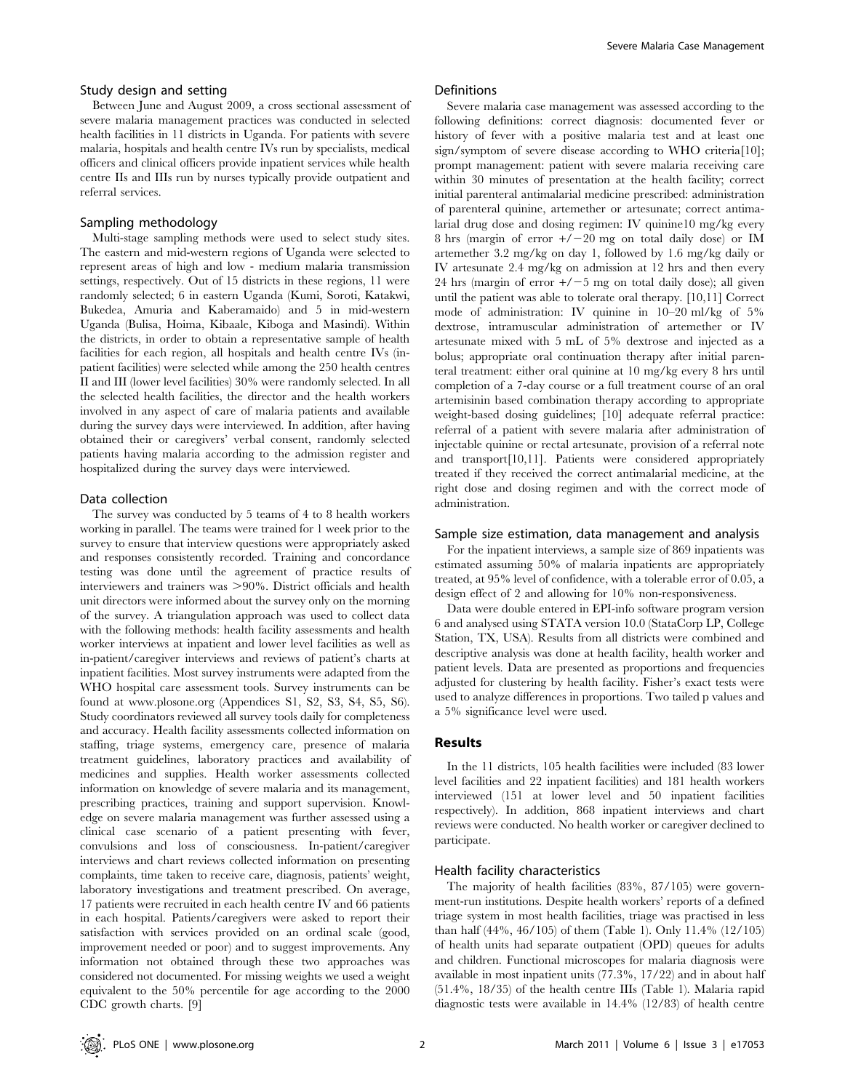#### Study design and setting

Between June and August 2009, a cross sectional assessment of severe malaria management practices was conducted in selected health facilities in 11 districts in Uganda. For patients with severe malaria, hospitals and health centre IVs run by specialists, medical officers and clinical officers provide inpatient services while health centre IIs and IIIs run by nurses typically provide outpatient and referral services.

#### Sampling methodology

Multi-stage sampling methods were used to select study sites. The eastern and mid-western regions of Uganda were selected to represent areas of high and low - medium malaria transmission settings, respectively. Out of 15 districts in these regions, 11 were randomly selected; 6 in eastern Uganda (Kumi, Soroti, Katakwi, Bukedea, Amuria and Kaberamaido) and 5 in mid-western Uganda (Bulisa, Hoima, Kibaale, Kiboga and Masindi). Within the districts, in order to obtain a representative sample of health facilities for each region, all hospitals and health centre IVs (inpatient facilities) were selected while among the 250 health centres II and III (lower level facilities) 30% were randomly selected. In all the selected health facilities, the director and the health workers involved in any aspect of care of malaria patients and available during the survey days were interviewed. In addition, after having obtained their or caregivers' verbal consent, randomly selected patients having malaria according to the admission register and hospitalized during the survey days were interviewed.

#### Data collection

The survey was conducted by 5 teams of 4 to 8 health workers working in parallel. The teams were trained for 1 week prior to the survey to ensure that interview questions were appropriately asked and responses consistently recorded. Training and concordance testing was done until the agreement of practice results of interviewers and trainers was >90%. District officials and health unit directors were informed about the survey only on the morning of the survey. A triangulation approach was used to collect data with the following methods: health facility assessments and health worker interviews at inpatient and lower level facilities as well as in-patient/caregiver interviews and reviews of patient's charts at inpatient facilities. Most survey instruments were adapted from the WHO hospital care assessment tools. Survey instruments can be found at www.plosone.org (Appendices S1, S2, S3, S4, S5, S6). Study coordinators reviewed all survey tools daily for completeness and accuracy. Health facility assessments collected information on staffing, triage systems, emergency care, presence of malaria treatment guidelines, laboratory practices and availability of medicines and supplies. Health worker assessments collected information on knowledge of severe malaria and its management, prescribing practices, training and support supervision. Knowledge on severe malaria management was further assessed using a clinical case scenario of a patient presenting with fever, convulsions and loss of consciousness. In-patient/caregiver interviews and chart reviews collected information on presenting complaints, time taken to receive care, diagnosis, patients' weight, laboratory investigations and treatment prescribed. On average, 17 patients were recruited in each health centre IV and 66 patients in each hospital. Patients/caregivers were asked to report their satisfaction with services provided on an ordinal scale (good, improvement needed or poor) and to suggest improvements. Any information not obtained through these two approaches was considered not documented. For missing weights we used a weight equivalent to the 50% percentile for age according to the 2000 CDC growth charts. [9]

#### **Definitions**

Severe malaria case management was assessed according to the following definitions: correct diagnosis: documented fever or history of fever with a positive malaria test and at least one sign/symptom of severe disease according to WHO criteria[10]; prompt management: patient with severe malaria receiving care within 30 minutes of presentation at the health facility; correct initial parenteral antimalarial medicine prescribed: administration of parenteral quinine, artemether or artesunate; correct antimalarial drug dose and dosing regimen: IV quinine10 mg/kg every 8 hrs (margin of error  $+/-20$  mg on total daily dose) or IM artemether 3.2 mg/kg on day 1, followed by 1.6 mg/kg daily or IV artesunate 2.4 mg/kg on admission at 12 hrs and then every 24 hrs (margin of error  $+\prime$  -5 mg on total daily dose); all given until the patient was able to tolerate oral therapy. [10,11] Correct mode of administration: IV quinine in 10–20 ml/kg of 5% dextrose, intramuscular administration of artemether or IV artesunate mixed with 5 mL of 5% dextrose and injected as a bolus; appropriate oral continuation therapy after initial parenteral treatment: either oral quinine at 10 mg/kg every 8 hrs until completion of a 7-day course or a full treatment course of an oral artemisinin based combination therapy according to appropriate weight-based dosing guidelines; [10] adequate referral practice: referral of a patient with severe malaria after administration of injectable quinine or rectal artesunate, provision of a referral note and transport[10,11]. Patients were considered appropriately treated if they received the correct antimalarial medicine, at the right dose and dosing regimen and with the correct mode of administration.

# Sample size estimation, data management and analysis

For the inpatient interviews, a sample size of 869 inpatients was estimated assuming 50% of malaria inpatients are appropriately treated, at 95% level of confidence, with a tolerable error of 0.05, a design effect of 2 and allowing for 10% non-responsiveness.

Data were double entered in EPI-info software program version 6 and analysed using STATA version 10.0 (StataCorp LP, College Station, TX, USA). Results from all districts were combined and descriptive analysis was done at health facility, health worker and patient levels. Data are presented as proportions and frequencies adjusted for clustering by health facility. Fisher's exact tests were used to analyze differences in proportions. Two tailed p values and a 5% significance level were used.

#### Results

In the 11 districts, 105 health facilities were included (83 lower level facilities and 22 inpatient facilities) and 181 health workers interviewed (151 at lower level and 50 inpatient facilities respectively). In addition, 868 inpatient interviews and chart reviews were conducted. No health worker or caregiver declined to participate.

#### Health facility characteristics

The majority of health facilities (83%, 87/105) were government-run institutions. Despite health workers' reports of a defined triage system in most health facilities, triage was practised in less than half (44%, 46/105) of them (Table 1). Only 11.4% (12/105) of health units had separate outpatient (OPD) queues for adults and children. Functional microscopes for malaria diagnosis were available in most inpatient units (77.3%, 17/22) and in about half (51.4%, 18/35) of the health centre IIIs (Table 1). Malaria rapid diagnostic tests were available in 14.4% (12/83) of health centre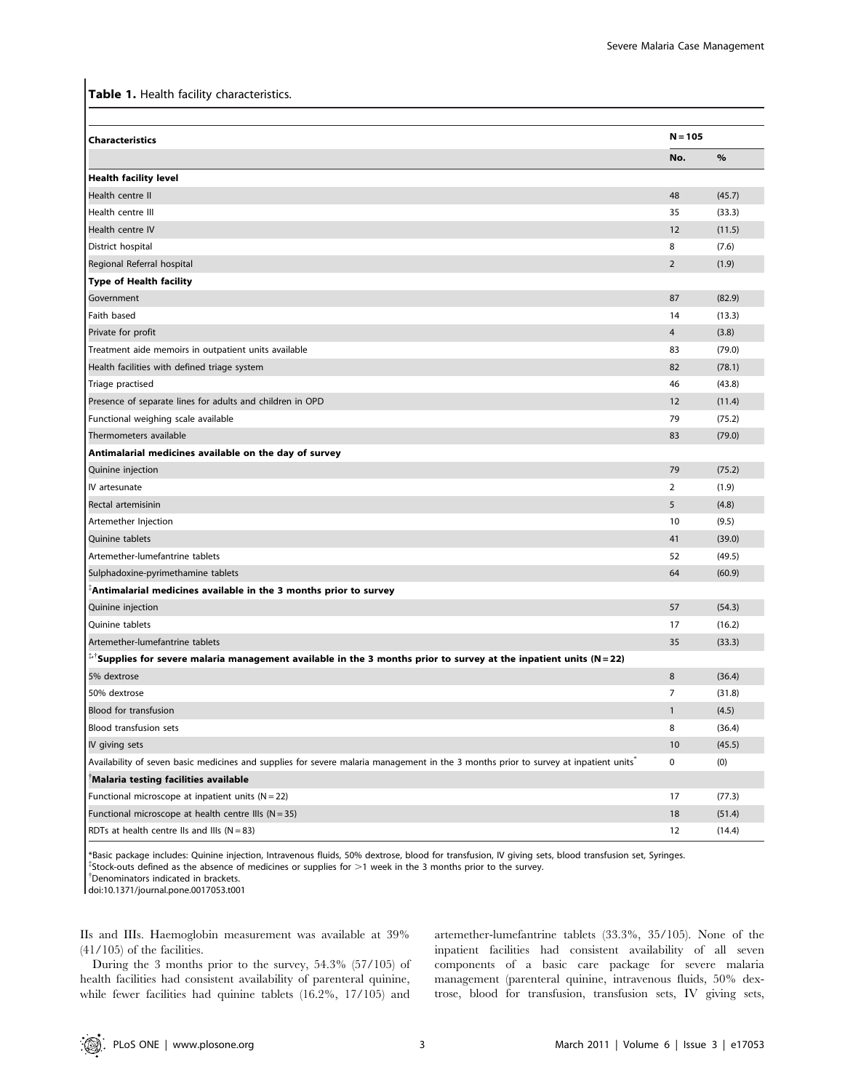Table 1. Health facility characteristics.

| <b>Characteristics</b>                                                                                                                   | $N = 105$      |        |
|------------------------------------------------------------------------------------------------------------------------------------------|----------------|--------|
|                                                                                                                                          | No.            | %      |
| <b>Health facility level</b>                                                                                                             |                |        |
| Health centre II                                                                                                                         | 48             | (45.7) |
| Health centre III                                                                                                                        | 35             | (33.3) |
| Health centre IV                                                                                                                         | 12             | (11.5) |
| District hospital                                                                                                                        | 8              | (7.6)  |
| Regional Referral hospital                                                                                                               | $\overline{2}$ | (1.9)  |
| <b>Type of Health facility</b>                                                                                                           |                |        |
| Government                                                                                                                               | 87             | (82.9) |
| Faith based                                                                                                                              | 14             | (13.3) |
| Private for profit                                                                                                                       | 4              | (3.8)  |
| Treatment aide memoirs in outpatient units available                                                                                     | 83             | (79.0) |
| Health facilities with defined triage system                                                                                             | 82             | (78.1) |
| Triage practised                                                                                                                         | 46             | (43.8) |
| Presence of separate lines for adults and children in OPD                                                                                | 12             | (11.4) |
| Functional weighing scale available                                                                                                      | 79             | (75.2) |
| Thermometers available                                                                                                                   | 83             | (79.0) |
| Antimalarial medicines available on the day of survey                                                                                    |                |        |
| Quinine injection                                                                                                                        | 79             | (75.2) |
| IV artesunate                                                                                                                            | $\overline{2}$ | (1.9)  |
| Rectal artemisinin                                                                                                                       | 5              | (4.8)  |
| Artemether Injection                                                                                                                     | 10             | (9.5)  |
| Quinine tablets                                                                                                                          | 41             | (39.0) |
| Artemether-lumefantrine tablets                                                                                                          | 52             | (49.5) |
| Sulphadoxine-pyrimethamine tablets                                                                                                       | 64             | (60.9) |
| $^\circ$ Antimalarial medicines available in the 3 months prior to survey                                                                |                |        |
| Quinine injection                                                                                                                        | 57             | (54.3) |
| Quinine tablets                                                                                                                          | 17             | (16.2) |
| Artemether-lumefantrine tablets                                                                                                          | 35             | (33.3) |
| $\sqrt[1.5]{\frac{1}{2}}$ Supplies for severe malaria management available in the 3 months prior to survey at the inpatient units (N=22) |                |        |
| 5% dextrose                                                                                                                              | 8              | (36.4) |
| 50% dextrose                                                                                                                             | 7              | (31.8) |
| <b>Blood for transfusion</b>                                                                                                             | $\mathbf{1}$   | (4.5)  |
| <b>Blood transfusion sets</b>                                                                                                            | 8              | (36.4) |
| IV giving sets                                                                                                                           | 10             | (45.5) |
| Availability of seven basic medicines and supplies for severe malaria management in the 3 months prior to survey at inpatient units      | 0              | (0)    |
| Malaria testing facilities available                                                                                                     |                |        |
| Functional microscope at inpatient units $(N = 22)$                                                                                      | 17             | (77.3) |
| Functional microscope at health centre IIIs ( $N = 35$ )                                                                                 | 18             | (51.4) |
| RDTs at health centre IIs and IIIs $(N = 83)$                                                                                            | 12             | (14.4) |

\*Basic package includes: Quinine injection, Intravenous fluids, 50% dextrose, blood for transfusion, IV giving sets, blood transfusion set, Syringes. {  $\overline{S}$  stock-outs defined as the absence of medicines or supplies for >1 week in the 3 months prior to the survey. Denominators indicated in brackets.

doi:10.1371/journal.pone.0017053.t001

IIs and IIIs. Haemoglobin measurement was available at 39% (41/105) of the facilities.

During the 3 months prior to the survey, 54.3% (57/105) of health facilities had consistent availability of parenteral quinine, while fewer facilities had quinine tablets (16.2%, 17/105) and artemether-lumefantrine tablets (33.3%, 35/105). None of the inpatient facilities had consistent availability of all seven components of a basic care package for severe malaria management (parenteral quinine, intravenous fluids, 50% dextrose, blood for transfusion, transfusion sets, IV giving sets,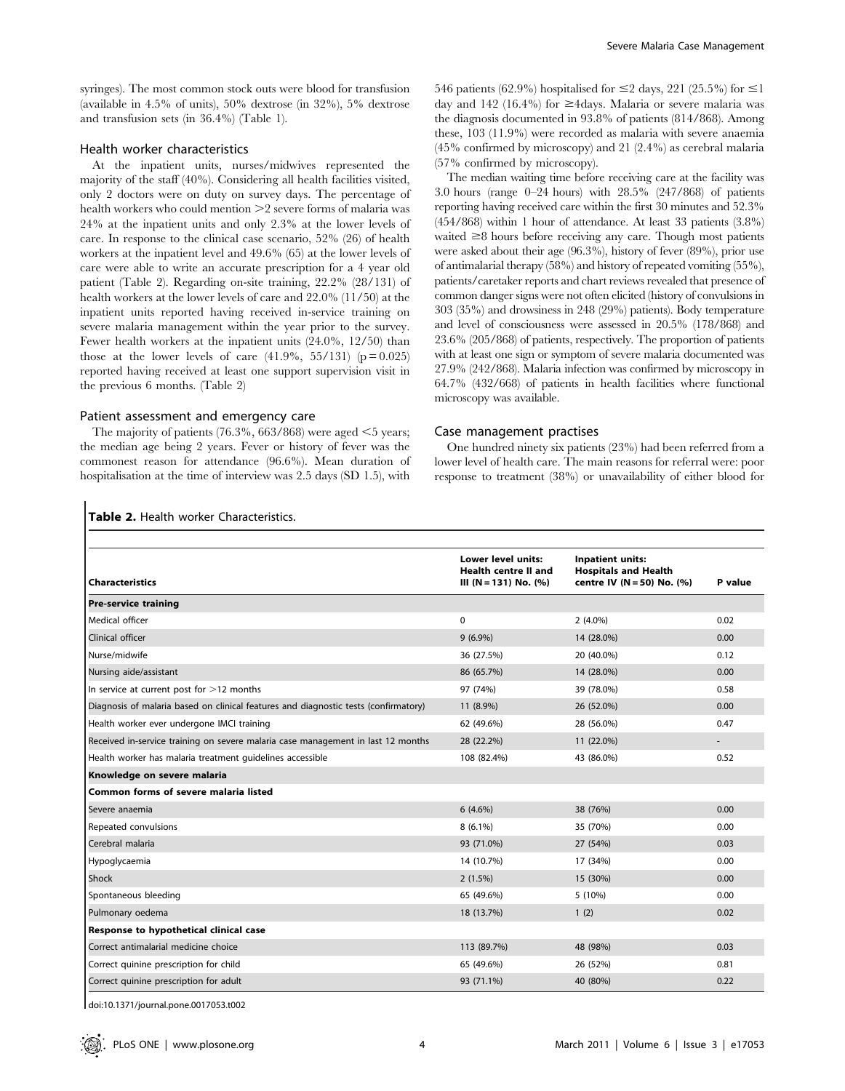syringes). The most common stock outs were blood for transfusion (available in 4.5% of units), 50% dextrose (in 32%), 5% dextrose and transfusion sets (in 36.4%) (Table 1).

### Health worker characteristics

At the inpatient units, nurses/midwives represented the majority of the staff (40%). Considering all health facilities visited, only 2 doctors were on duty on survey days. The percentage of health workers who could mention  $>2$  severe forms of malaria was 24% at the inpatient units and only 2.3% at the lower levels of care. In response to the clinical case scenario, 52% (26) of health workers at the inpatient level and 49.6% (65) at the lower levels of care were able to write an accurate prescription for a 4 year old patient (Table 2). Regarding on-site training, 22.2% (28/131) of health workers at the lower levels of care and 22.0% (11/50) at the inpatient units reported having received in-service training on severe malaria management within the year prior to the survey. Fewer health workers at the inpatient units (24.0%, 12/50) than those at the lower levels of care  $(41.9\%, 55/131)$  (p = 0.025) reported having received at least one support supervision visit in the previous 6 months. (Table 2)

# Patient assessment and emergency care

Table 2. Health worker Characteristics.

The majority of patients  $(76.3\%, 663/868)$  were aged  $\leq 5$  years; the median age being 2 years. Fever or history of fever was the commonest reason for attendance (96.6%). Mean duration of hospitalisation at the time of interview was 2.5 days (SD 1.5), with

546 patients (62.9%) hospitalised for  $\leq$  2 days, 221 (25.5%) for  $\leq$  1 day and 142 (16.4%) for  $\geq$ 4days. Malaria or severe malaria was the diagnosis documented in 93.8% of patients (814/868). Among these, 103 (11.9%) were recorded as malaria with severe anaemia (45% confirmed by microscopy) and 21 (2.4%) as cerebral malaria (57% confirmed by microscopy).

The median waiting time before receiving care at the facility was 3.0 hours (range 0–24 hours) with 28.5% (247/868) of patients reporting having received care within the first 30 minutes and 52.3% (454/868) within 1 hour of attendance. At least 33 patients (3.8%) waited  $\geq 8$  hours before receiving any care. Though most patients were asked about their age (96.3%), history of fever (89%), prior use of antimalarial therapy (58%) and history of repeated vomiting (55%), patients/caretaker reports and chart reviews revealed that presence of common danger signs were not often elicited (history of convulsions in 303 (35%) and drowsiness in 248 (29%) patients). Body temperature and level of consciousness were assessed in 20.5% (178/868) and 23.6% (205/868) of patients, respectively. The proportion of patients with at least one sign or symptom of severe malaria documented was 27.9% (242/868). Malaria infection was confirmed by microscopy in 64.7% (432/668) of patients in health facilities where functional microscopy was available.

#### Case management practises

One hundred ninety six patients (23%) had been referred from a lower level of health care. The main reasons for referral were: poor response to treatment (38%) or unavailability of either blood for

|                                                                                     | <b>Lower level units:</b> | <b>Inpatient units:</b>     |         |  |
|-------------------------------------------------------------------------------------|---------------------------|-----------------------------|---------|--|
|                                                                                     | Health centre II and      | <b>Hospitals and Health</b> |         |  |
| <b>Characteristics</b>                                                              | III (N = 131) No. $(%)$   | centre IV (N = 50) No. (%)  | P value |  |
| <b>Pre-service training</b>                                                         |                           |                             |         |  |
| Medical officer                                                                     | $\mathbf 0$               | $2(4.0\%)$                  | 0.02    |  |
| Clinical officer                                                                    | $9(6.9\%)$                | 14 (28.0%)                  | 0.00    |  |
| Nurse/midwife                                                                       | 36 (27.5%)                | 20 (40.0%)                  | 0.12    |  |
| Nursing aide/assistant                                                              | 86 (65.7%)                | 14 (28.0%)                  | 0.00    |  |
| In service at current post for $>$ 12 months                                        | 97 (74%)                  | 39 (78.0%)                  | 0.58    |  |
| Diagnosis of malaria based on clinical features and diagnostic tests (confirmatory) | 11 (8.9%)                 | 26 (52.0%)                  | 0.00    |  |
| Health worker ever undergone IMCI training                                          | 62 (49.6%)                | 28 (56.0%)                  | 0.47    |  |
| Received in-service training on severe malaria case management in last 12 months    | 28 (22.2%)                | 11 (22.0%)                  |         |  |
| Health worker has malaria treatment quidelines accessible                           | 108 (82.4%)               | 43 (86.0%)                  | 0.52    |  |
| Knowledge on severe malaria                                                         |                           |                             |         |  |
| Common forms of severe malaria listed                                               |                           |                             |         |  |
| Severe anaemia                                                                      | $6(4.6\%)$                | 38 (76%)                    | 0.00    |  |
| Repeated convulsions                                                                | $8(6.1\%)$                | 35 (70%)                    | 0.00    |  |
| Cerebral malaria                                                                    | 93 (71.0%)                | 27 (54%)                    | 0.03    |  |
| Hypoglycaemia                                                                       | 14 (10.7%)                | 17 (34%)                    | 0.00    |  |
| Shock                                                                               | 2(1.5%)                   | 15 (30%)                    | 0.00    |  |
| Spontaneous bleeding                                                                | 65 (49.6%)                | 5 (10%)                     | 0.00    |  |
| Pulmonary oedema                                                                    | 18 (13.7%)                | 1(2)                        | 0.02    |  |
| Response to hypothetical clinical case                                              |                           |                             |         |  |
| Correct antimalarial medicine choice                                                | 113 (89.7%)               | 48 (98%)                    | 0.03    |  |
| Correct quinine prescription for child                                              | 65 (49.6%)                | 26 (52%)                    | 0.81    |  |
| Correct quinine prescription for adult                                              | 93 (71.1%)                | 40 (80%)                    | 0.22    |  |

doi:10.1371/journal.pone.0017053.t002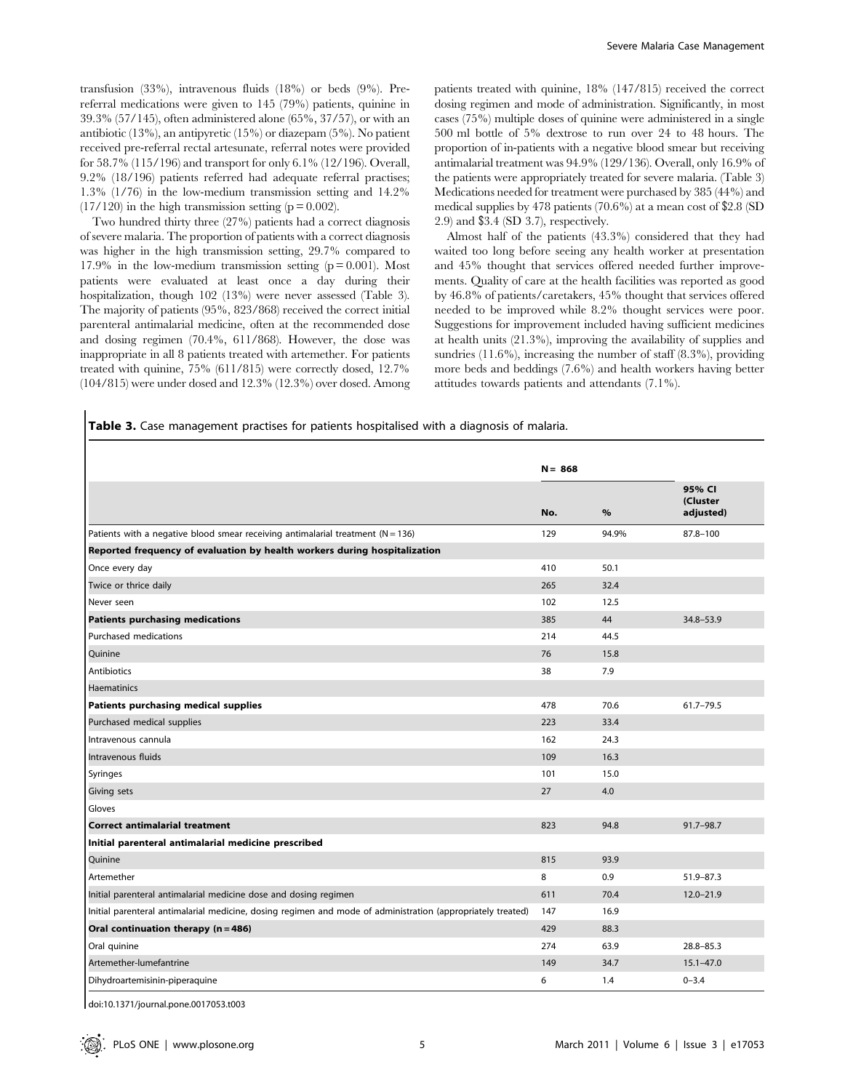transfusion (33%), intravenous fluids (18%) or beds (9%). Prereferral medications were given to 145 (79%) patients, quinine in 39.3% (57/145), often administered alone (65%, 37/57), or with an antibiotic (13%), an antipyretic (15%) or diazepam (5%). No patient received pre-referral rectal artesunate, referral notes were provided for 58.7% (115/196) and transport for only 6.1% (12/196). Overall, 9.2% (18/196) patients referred had adequate referral practises; 1.3% (1/76) in the low-medium transmission setting and 14.2%  $(17/120)$  in the high transmission setting ( $p = 0.002$ ).

Two hundred thirty three (27%) patients had a correct diagnosis of severe malaria. The proportion of patients with a correct diagnosis was higher in the high transmission setting, 29.7% compared to 17.9% in the low-medium transmission setting  $(p = 0.001)$ . Most patients were evaluated at least once a day during their hospitalization, though 102 (13%) were never assessed (Table 3). The majority of patients (95%, 823/868) received the correct initial parenteral antimalarial medicine, often at the recommended dose and dosing regimen (70.4%, 611/868). However, the dose was inappropriate in all 8 patients treated with artemether. For patients treated with quinine, 75% (611/815) were correctly dosed, 12.7% (104/815) were under dosed and 12.3% (12.3%) over dosed. Among patients treated with quinine, 18% (147/815) received the correct dosing regimen and mode of administration. Significantly, in most cases (75%) multiple doses of quinine were administered in a single 500 ml bottle of 5% dextrose to run over 24 to 48 hours. The proportion of in-patients with a negative blood smear but receiving antimalarial treatment was 94.9% (129/136). Overall, only 16.9% of the patients were appropriately treated for severe malaria. (Table 3) Medications needed for treatment were purchased by 385 (44%) and medical supplies by 478 patients (70.6%) at a mean cost of \$2.8 (SD 2.9) and \$3.4 (SD 3.7), respectively.

Almost half of the patients (43.3%) considered that they had waited too long before seeing any health worker at presentation and 45% thought that services offered needed further improvements. Quality of care at the health facilities was reported as good by 46.8% of patients/caretakers, 45% thought that services offered needed to be improved while 8.2% thought services were poor. Suggestions for improvement included having sufficient medicines at health units (21.3%), improving the availability of supplies and sundries (11.6%), increasing the number of staff (8.3%), providing more beds and beddings (7.6%) and health workers having better attitudes towards patients and attendants (7.1%).

Table 3. Case management practises for patients hospitalised with a diagnosis of malaria.

|                                                                                                             | $N = 868$ |       |                                 |
|-------------------------------------------------------------------------------------------------------------|-----------|-------|---------------------------------|
|                                                                                                             | No.       | %     | 95% CI<br>(Cluster<br>adjusted) |
| Patients with a negative blood smear receiving antimalarial treatment ( $N = 136$ )                         | 129       | 94.9% | 87.8-100                        |
| Reported frequency of evaluation by health workers during hospitalization                                   |           |       |                                 |
| Once every day                                                                                              | 410       | 50.1  |                                 |
| Twice or thrice daily                                                                                       | 265       | 32.4  |                                 |
| Never seen                                                                                                  | 102       | 12.5  |                                 |
| <b>Patients purchasing medications</b>                                                                      | 385       | 44    | 34.8-53.9                       |
| Purchased medications                                                                                       | 214       | 44.5  |                                 |
| Quinine                                                                                                     | 76        | 15.8  |                                 |
| Antibiotics                                                                                                 | 38        | 7.9   |                                 |
| <b>Haematinics</b>                                                                                          |           |       |                                 |
| Patients purchasing medical supplies                                                                        | 478       | 70.6  | $61.7 - 79.5$                   |
| Purchased medical supplies                                                                                  | 223       | 33.4  |                                 |
| Intravenous cannula                                                                                         | 162       | 24.3  |                                 |
| Intravenous fluids                                                                                          | 109       | 16.3  |                                 |
| Syringes                                                                                                    | 101       | 15.0  |                                 |
| Giving sets                                                                                                 | 27        | 4.0   |                                 |
| Gloves                                                                                                      |           |       |                                 |
| <b>Correct antimalarial treatment</b>                                                                       | 823       | 94.8  | 91.7-98.7                       |
| Initial parenteral antimalarial medicine prescribed                                                         |           |       |                                 |
| Quinine                                                                                                     | 815       | 93.9  |                                 |
| Artemether                                                                                                  | 8         | 0.9   | $51.9 - 87.3$                   |
| Initial parenteral antimalarial medicine dose and dosing regimen                                            | 611       | 70.4  | $12.0 - 21.9$                   |
| Initial parenteral antimalarial medicine, dosing regimen and mode of administration (appropriately treated) | 147       | 16.9  |                                 |
| Oral continuation therapy (n = 486)                                                                         | 429       | 88.3  |                                 |
| Oral quinine                                                                                                | 274       | 63.9  | $28.8 - 85.3$                   |
| Artemether-lumefantrine                                                                                     | 149       | 34.7  | $15.1 - 47.0$                   |
| Dihydroartemisinin-piperaquine                                                                              | 6         | 1.4   | $0 - 3.4$                       |

doi:10.1371/journal.pone.0017053.t003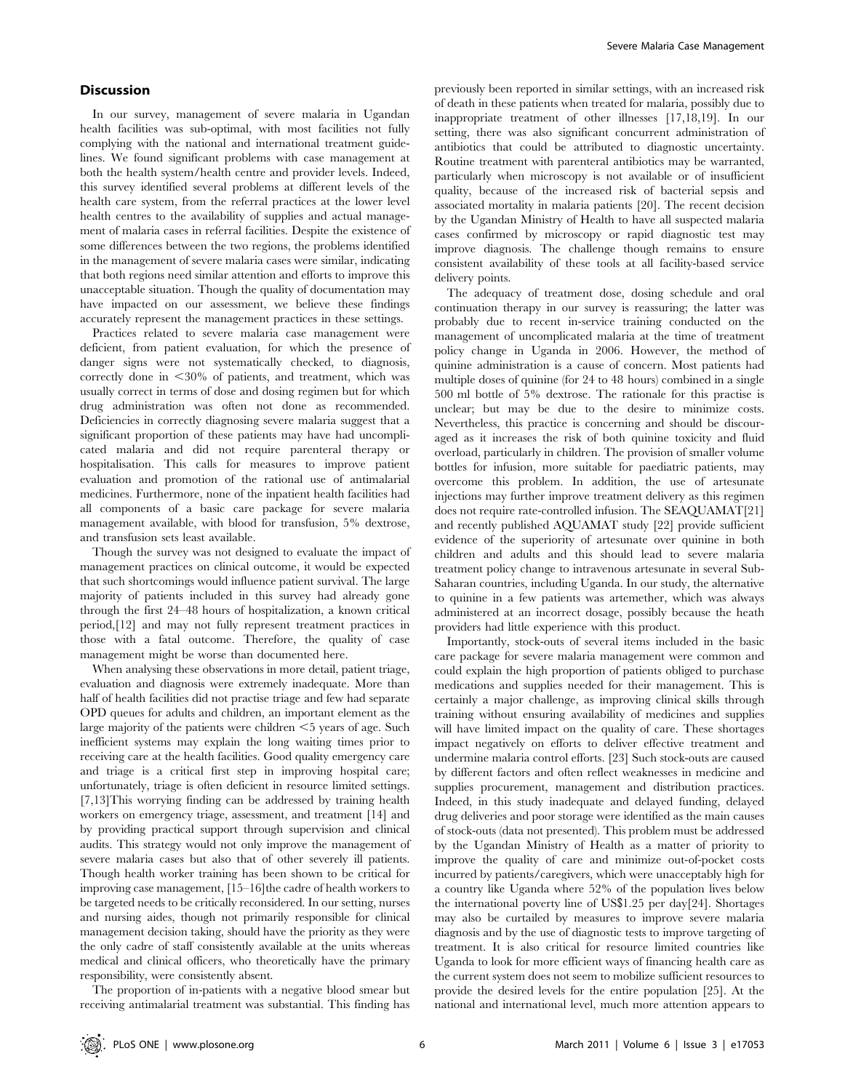# **Discussion**

In our survey, management of severe malaria in Ugandan health facilities was sub-optimal, with most facilities not fully complying with the national and international treatment guidelines. We found significant problems with case management at both the health system/health centre and provider levels. Indeed, this survey identified several problems at different levels of the health care system, from the referral practices at the lower level health centres to the availability of supplies and actual management of malaria cases in referral facilities. Despite the existence of some differences between the two regions, the problems identified in the management of severe malaria cases were similar, indicating that both regions need similar attention and efforts to improve this unacceptable situation. Though the quality of documentation may have impacted on our assessment, we believe these findings accurately represent the management practices in these settings.

Practices related to severe malaria case management were deficient, from patient evaluation, for which the presence of danger signs were not systematically checked, to diagnosis, correctly done in  $<30\%$  of patients, and treatment, which was usually correct in terms of dose and dosing regimen but for which drug administration was often not done as recommended. Deficiencies in correctly diagnosing severe malaria suggest that a significant proportion of these patients may have had uncomplicated malaria and did not require parenteral therapy or hospitalisation. This calls for measures to improve patient evaluation and promotion of the rational use of antimalarial medicines. Furthermore, none of the inpatient health facilities had all components of a basic care package for severe malaria management available, with blood for transfusion, 5% dextrose, and transfusion sets least available.

Though the survey was not designed to evaluate the impact of management practices on clinical outcome, it would be expected that such shortcomings would influence patient survival. The large majority of patients included in this survey had already gone through the first 24–48 hours of hospitalization, a known critical period,[12] and may not fully represent treatment practices in those with a fatal outcome. Therefore, the quality of case management might be worse than documented here.

When analysing these observations in more detail, patient triage, evaluation and diagnosis were extremely inadequate. More than half of health facilities did not practise triage and few had separate OPD queues for adults and children, an important element as the large majority of the patients were children  $\leq$  years of age. Such inefficient systems may explain the long waiting times prior to receiving care at the health facilities. Good quality emergency care and triage is a critical first step in improving hospital care; unfortunately, triage is often deficient in resource limited settings. [7,13]This worrying finding can be addressed by training health workers on emergency triage, assessment, and treatment [14] and by providing practical support through supervision and clinical audits. This strategy would not only improve the management of severe malaria cases but also that of other severely ill patients. Though health worker training has been shown to be critical for improving case management, [15–16]the cadre of health workers to be targeted needs to be critically reconsidered. In our setting, nurses and nursing aides, though not primarily responsible for clinical management decision taking, should have the priority as they were the only cadre of staff consistently available at the units whereas medical and clinical officers, who theoretically have the primary responsibility, were consistently absent.

The proportion of in-patients with a negative blood smear but receiving antimalarial treatment was substantial. This finding has

previously been reported in similar settings, with an increased risk of death in these patients when treated for malaria, possibly due to inappropriate treatment of other illnesses [17,18,19]. In our setting, there was also significant concurrent administration of antibiotics that could be attributed to diagnostic uncertainty. Routine treatment with parenteral antibiotics may be warranted, particularly when microscopy is not available or of insufficient quality, because of the increased risk of bacterial sepsis and associated mortality in malaria patients [20]. The recent decision by the Ugandan Ministry of Health to have all suspected malaria cases confirmed by microscopy or rapid diagnostic test may improve diagnosis. The challenge though remains to ensure consistent availability of these tools at all facility-based service delivery points.

The adequacy of treatment dose, dosing schedule and oral continuation therapy in our survey is reassuring; the latter was probably due to recent in-service training conducted on the management of uncomplicated malaria at the time of treatment policy change in Uganda in 2006. However, the method of quinine administration is a cause of concern. Most patients had multiple doses of quinine (for 24 to 48 hours) combined in a single 500 ml bottle of 5% dextrose. The rationale for this practise is unclear; but may be due to the desire to minimize costs. Nevertheless, this practice is concerning and should be discouraged as it increases the risk of both quinine toxicity and fluid overload, particularly in children. The provision of smaller volume bottles for infusion, more suitable for paediatric patients, may overcome this problem. In addition, the use of artesunate injections may further improve treatment delivery as this regimen does not require rate-controlled infusion. The SEAQUAMAT[21] and recently published AQUAMAT study [22] provide sufficient evidence of the superiority of artesunate over quinine in both children and adults and this should lead to severe malaria treatment policy change to intravenous artesunate in several Sub-Saharan countries, including Uganda. In our study, the alternative to quinine in a few patients was artemether, which was always administered at an incorrect dosage, possibly because the heath providers had little experience with this product.

Importantly, stock-outs of several items included in the basic care package for severe malaria management were common and could explain the high proportion of patients obliged to purchase medications and supplies needed for their management. This is certainly a major challenge, as improving clinical skills through training without ensuring availability of medicines and supplies will have limited impact on the quality of care. These shortages impact negatively on efforts to deliver effective treatment and undermine malaria control efforts. [23] Such stock-outs are caused by different factors and often reflect weaknesses in medicine and supplies procurement, management and distribution practices. Indeed, in this study inadequate and delayed funding, delayed drug deliveries and poor storage were identified as the main causes of stock-outs (data not presented). This problem must be addressed by the Ugandan Ministry of Health as a matter of priority to improve the quality of care and minimize out-of-pocket costs incurred by patients/caregivers, which were unacceptably high for a country like Uganda where 52% of the population lives below the international poverty line of US\$1.25 per day[24]. Shortages may also be curtailed by measures to improve severe malaria diagnosis and by the use of diagnostic tests to improve targeting of treatment. It is also critical for resource limited countries like Uganda to look for more efficient ways of financing health care as the current system does not seem to mobilize sufficient resources to provide the desired levels for the entire population [25]. At the national and international level, much more attention appears to